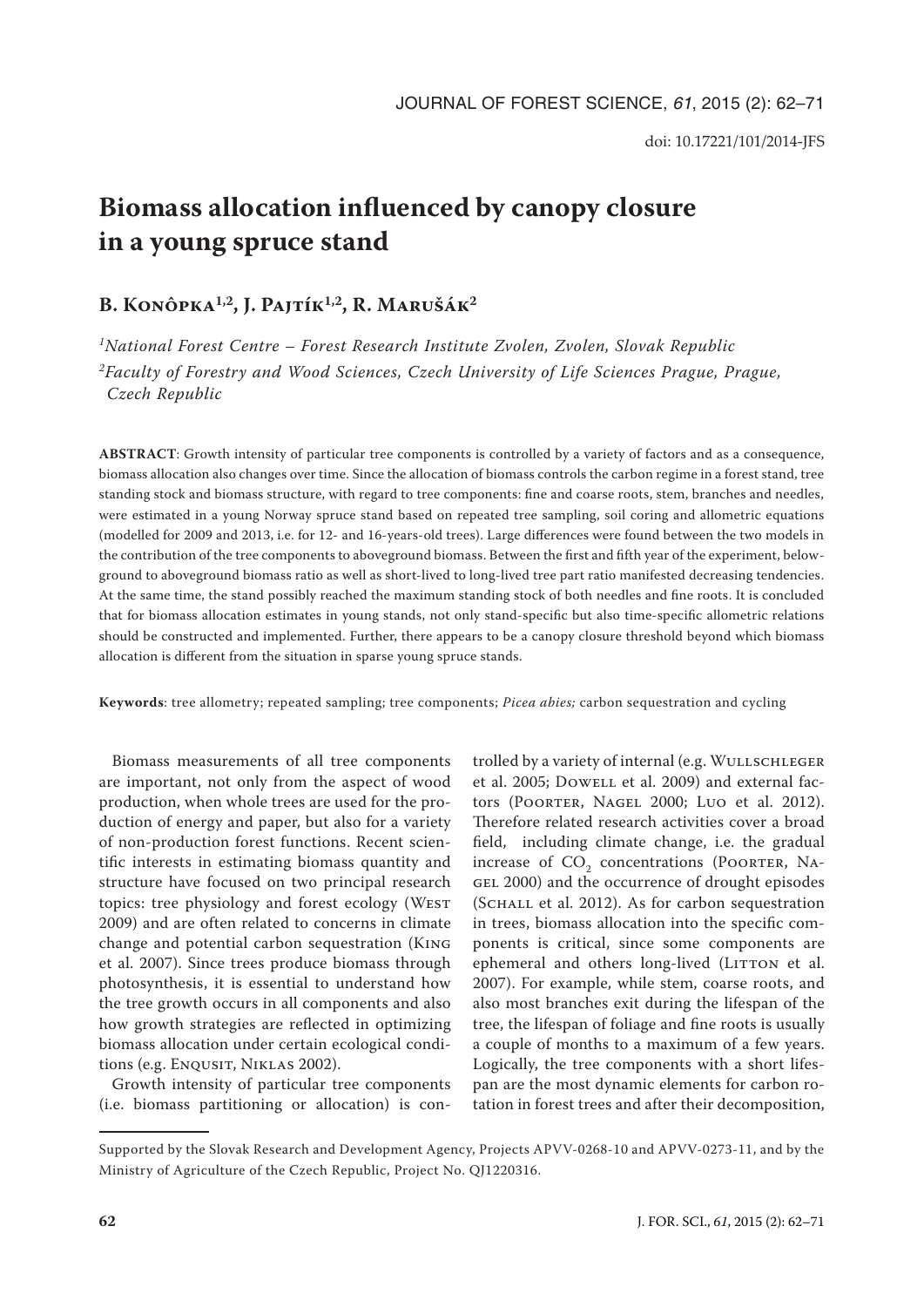# **Biomass allocation influenced by canopy closure in a young spruce stand**

# B. KONÔPKA<sup>1,2</sup>, J. Pajtík<sup>1,2</sup>, R. Marušák<sup>2</sup>

*1National Forest Centre – Forest Research Institute Zvolen, Zvolen, Slovak Republic 2Faculty of Forestry and Wood Sciences, Czech University of Life Sciences Prague, Prague, Czech Republic*

**ABSTRACT**: Growth intensity of particular tree components is controlled by a variety of factors and as a consequence, biomass allocation also changes over time. Since the allocation of biomass controls the carbon regime in a forest stand, tree standing stock and biomass structure, with regard to tree components: fine and coarse roots, stem, branches and needles, were estimated in a young Norway spruce stand based on repeated tree sampling, soil coring and allometric equations (modelled for 2009 and 2013, i.e. for 12- and 16-years-old trees). Large differences were found between the two models in the contribution of the tree components to aboveground biomass. Between the first and fifth year of the experiment, belowground to aboveground biomass ratio as well as short-lived to long-lived tree part ratio manifested decreasing tendencies. At the same time, the stand possibly reached the maximum standing stock of both needles and fine roots. It is concluded that for biomass allocation estimates in young stands, not only stand-specific but also time-specific allometric relations should be constructed and implemented. Further, there appears to be a canopy closure threshold beyond which biomass allocation is different from the situation in sparse young spruce stands.

**Keywords**: tree allometry; repeated sampling; tree components; *Picea abies;* carbon sequestration and cycling

Biomass measurements of all tree components are important, not only from the aspect of wood production, when whole trees are used for the production of energy and paper, but also for a variety of non-production forest functions. Recent scientific interests in estimating biomass quantity and structure have focused on two principal research topics: tree physiology and forest ecology (West 2009) and are often related to concerns in climate change and potential carbon sequestration (King et al. 2007). Since trees produce biomass through photosynthesis, it is essential to understand how the tree growth occurs in all components and also how growth strategies are reflected in optimizing biomass allocation under certain ecological conditions (e.g. Enqusit, Niklas 2002).

Growth intensity of particular tree components (i.e. biomass partitioning or allocation) is con-

trolled by a variety of internal (e.g. WULLSCHLEGER et al. 2005; Dowell et al. 2009) and external factors (Poorter, Nagel 2000; Luo et al. 2012). Therefore related research activities cover a broad field, including climate change, i.e. the gradual increase of  $CO<sub>2</sub>$  concentrations (POORTER, NA-GEL 2000) and the occurrence of drought episodes (Schall et al. 2012). As for carbon sequestration in trees, biomass allocation into the specific components is critical, since some components are ephemeral and others long-lived (LITTON et al. 2007). For example, while stem, coarse roots, and also most branches exit during the lifespan of the tree, the lifespan of foliage and fine roots is usually a couple of months to a maximum of a few years. Logically, the tree components with a short lifespan are the most dynamic elements for carbon rotation in forest trees and after their decomposition,

Supported by the Slovak Research and Development Agency, Projects APVV-0268-10 and APVV-0273-11, and by the Ministry of Agriculture of the Czech Republic, Project No. QJ1220316.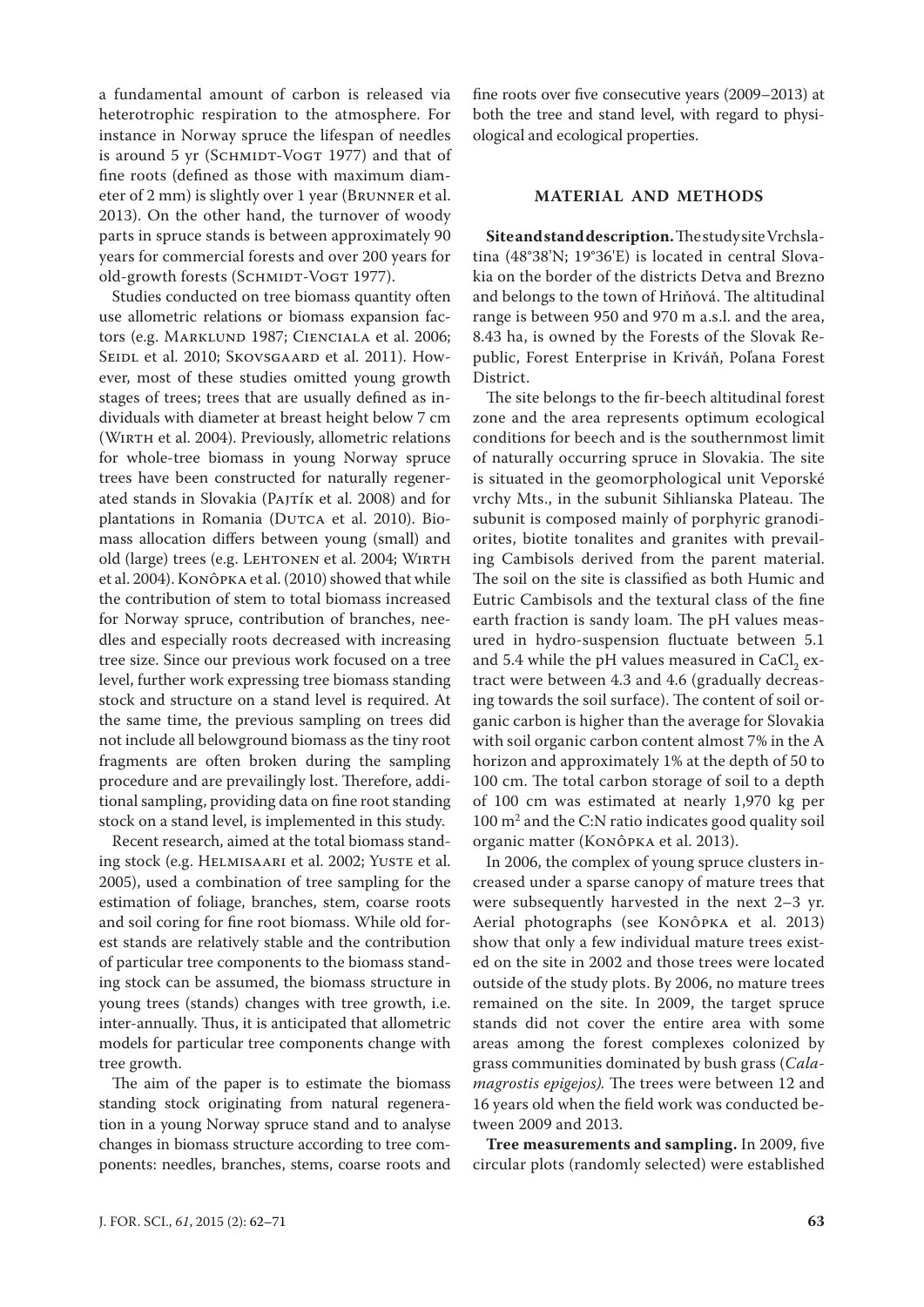a fundamental amount of carbon is released via heterotrophic respiration to the atmosphere. For instance in Norway spruce the lifespan of needles is around 5 yr (SCHMIDT-VOGT 1977) and that of fine roots (defined as those with maximum diameter of 2 mm) is slightly over 1 year (Brunner et al. 2013). On the other hand, the turnover of woody parts in spruce stands is between approximately 90 years for commercial forests and over 200 years for old-growth forests (SCHMIDT-VOGT 1977).

Studies conducted on tree biomass quantity often use allometric relations or biomass expansion factors (e.g. MARKLUND 1987; CIENCIALA et al. 2006; SEIDL et al. 2010; SKOVSGAARD et al. 2011). However, most of these studies omitted young growth stages of trees; trees that are usually defined as individuals with diameter at breast height below 7 cm (WIRTH et al. 2004). Previously, allometric relations for whole-tree biomass in young Norway spruce trees have been constructed for naturally regenerated stands in Slovakia (PAJTÍK et al. 2008) and for plantations in Romania (DUTCA et al. 2010). Biomass allocation differs between young (small) and old (large) trees (e.g. LEHTONEN et al. 2004; WIRTH et al. 2004). Konôpka et al. (2010) showed that while the contribution of stem to total biomass increased for Norway spruce, contribution of branches, needles and especially roots decreased with increasing tree size. Since our previous work focused on a tree level, further work expressing tree biomass standing stock and structure on a stand level is required. At the same time, the previous sampling on trees did not include all belowground biomass as the tiny root fragments are often broken during the sampling procedure and are prevailingly lost. Therefore, additional sampling, providing data on fine root standing stock on a stand level, is implemented in this study.

Recent research, aimed at the total biomass standing stock (e.g. Helmisaari et al. 2002; Yuste et al. 2005), used a combination of tree sampling for the estimation of foliage, branches, stem, coarse roots and soil coring for fine root biomass. While old forest stands are relatively stable and the contribution of particular tree components to the biomass standing stock can be assumed, the biomass structure in young trees (stands) changes with tree growth, i.e. inter-annually. Thus, it is anticipated that allometric models for particular tree components change with tree growth.

The aim of the paper is to estimate the biomass standing stock originating from natural regeneration in a young Norway spruce stand and to analyse changes in biomass structure according to tree components: needles, branches, stems, coarse roots and fine roots over five consecutive years (2009–2013) at both the tree and stand level, with regard to physiological and ecological properties.

## **MATERIAL AND METHODS**

**Site and stand description.** The study site Vrchslatina (48°38'N; 19°36'E) is located in central Slovakia on the border of the districts Detva and Brezno and belongs to the town of Hriňová. The altitudinal range is between 950 and 970 m a.s.l. and the area, 8.43 ha, is owned by the Forests of the Slovak Republic, Forest Enterprise in Kriváň, Poľana Forest District.

The site belongs to the fir-beech altitudinal forest zone and the area represents optimum ecological conditions for beech and is the southernmost limit of naturally occurring spruce in Slovakia. The site is situated in the geomorphological unit Veporské vrchy Mts., in the subunit Sihlianska Plateau. The subunit is composed mainly of porphyric granodiorites, biotite tonalites and granites with prevailing Cambisols derived from the parent material. The soil on the site is classified as both Humic and Eutric Cambisols and the textural class of the fine earth fraction is sandy loam. The pH values measured in hydro-suspension fluctuate between 5.1 and 5.4 while the pH values measured in  $CaCl<sub>2</sub>$  extract were between 4.3 and 4.6 (gradually decreasing towards the soil surface). The content of soil organic carbon is higher than the average for Slovakia with soil organic carbon content almost 7% in the A horizon and approximately 1% at the depth of 50 to 100 cm. The total carbon storage of soil to a depth of 100 cm was estimated at nearly 1,970 kg per  $100 \text{ m}^2$  and the C:N ratio indicates good quality soil organic matter (Konôpka et al. 2013).

In 2006, the complex of young spruce clusters increased under a sparse canopy of mature trees that were subsequently harvested in the next 2–3 yr. Aerial photographs (see Konôpka et al. 2013) show that only a few individual mature trees existed on the site in 2002 and those trees were located outside of the study plots. By 2006, no mature trees remained on the site. In 2009, the target spruce stands did not cover the entire area with some areas among the forest complexes colonized by grass communities dominated by bush grass (*Calamagrostis epigejos).* The trees were between 12 and 16 years old when the field work was conducted between 2009 and 2013.

**Tree measurements and sampling.** In 2009, five circular plots (randomly selected) were established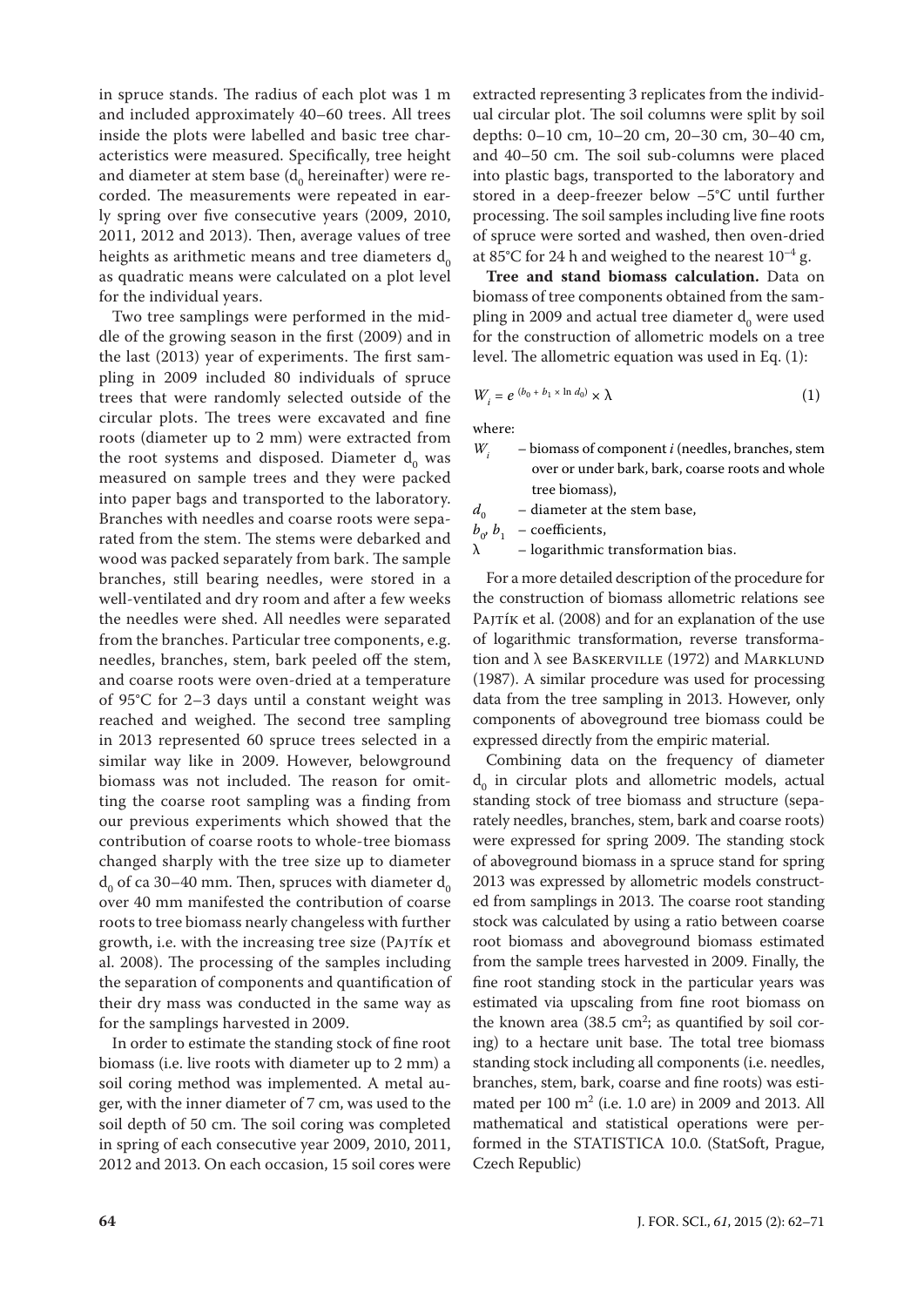in spruce stands. The radius of each plot was 1 m and included approximately 40–60 trees. All trees inside the plots were labelled and basic tree characteristics were measured. Specifically, tree height and diameter at stem base ( $d_0$  hereinafter) were recorded. The measurements were repeated in early spring over five consecutive years (2009, 2010, 2011, 2012 and 2013). Then, average values of tree heights as arithmetic means and tree diameters  $d_0$ as quadratic means were calculated on a plot level for the individual years.

Two tree samplings were performed in the middle of the growing season in the first (2009) and in the last (2013) year of experiments. The first sampling in 2009 included 80 individuals of spruce trees that were randomly selected outside of the circular plots. The trees were excavated and fine roots (diameter up to 2 mm) were extracted from the root systems and disposed. Diameter  $d_0$  was measured on sample trees and they were packed into paper bags and transported to the laboratory. Branches with needles and coarse roots were separated from the stem. The stems were debarked and wood was packed separately from bark. The sample branches, still bearing needles, were stored in a well-ventilated and dry room and after a few weeks the needles were shed. All needles were separated from the branches. Particular tree components, e.g. needles, branches, stem, bark peeled off the stem, and coarse roots were oven-dried at a temperature of 95°C for 2–3 days until a constant weight was reached and weighed. The second tree sampling in 2013 represented 60 spruce trees selected in a similar way like in 2009. However, belowground biomass was not included. The reason for omitting the coarse root sampling was a finding from our previous experiments which showed that the contribution of coarse roots to whole-tree biomass changed sharply with the tree size up to diameter  $d_0$  of ca 30–40 mm. Then, spruces with diameter  $d_0$ over 40 mm manifested the contribution of coarse roots to tree biomass nearly changeless with further growth, i.e. with the increasing tree size (PAJTÍK et al. 2008). The processing of the samples including the separation of components and quantification of their dry mass was conducted in the same way as for the samplings harvested in 2009.

In order to estimate the standing stock of fine root biomass (i.e. live roots with diameter up to 2 mm) a soil coring method was implemented. A metal auger, with the inner diameter of 7 cm, was used to the soil depth of 50 cm. The soil coring was completed in spring of each consecutive year 2009, 2010, 2011, 2012 and 2013. On each occasion, 15 soil cores were

extracted representing 3 replicates from the individual circular plot. The soil columns were split by soil depths: 0–10 cm, 10–20 cm, 20–30 cm, 30–40 cm, and 40–50 cm. The soil sub-columns were placed into plastic bags, transported to the laboratory and stored in a deep-freezer below –5°C until further processing. The soil samples including live fine roots of spruce were sorted and washed, then oven-dried at 85°C for 24 h and weighed to the nearest  $10^{-4}$  g.

**Tree and stand biomass calculation.** Data on biomass of tree components obtained from the sampling in 2009 and actual tree diameter  $d_0$  were used for the construction of allometric models on a tree level. The allometric equation was used in Eq. (1):

$$
W_i = e^{(b_0 + b_1 \times \ln d_0)} \times \lambda \tag{1}
$$

where:

*Wi* – biomass of component *i* (needles, branches, stem over or under bark, bark, coarse roots and whole tree biomass),

 $d_0$  – diameter at the stem base,

 $b_0$ ,  $b_1$  – coefficients,

 $\lambda$  – logarithmic transformation bias.

For a more detailed description of the procedure for the construction of biomass allometric relations see PAJTÍK et al. (2008) and for an explanation of the use of logarithmic transformation, reverse transformation and  $\lambda$  see BASKERVILLE (1972) and MARKLUND (1987). A similar procedure was used for processing data from the tree sampling in 2013. However, only components of aboveground tree biomass could be expressed directly from the empiric material.

Combining data on the frequency of diameter  $d_0$  in circular plots and allometric models, actual standing stock of tree biomass and structure (separately needles, branches, stem, bark and coarse roots) were expressed for spring 2009. The standing stock of aboveground biomass in a spruce stand for spring 2013 was expressed by allometric models constructed from samplings in 2013. The coarse root standing stock was calculated by using a ratio between coarse root biomass and aboveground biomass estimated from the sample trees harvested in 2009. Finally, the fine root standing stock in the particular years was estimated via upscaling from fine root biomass on the known area  $(38.5 \text{ cm}^2)$ ; as quantified by soil coring) to a hectare unit base. The total tree biomass standing stock including all components (i.e. needles, branches, stem, bark, coarse and fine roots) was estimated per  $100 \text{ m}^2$  (i.e. 1.0 are) in 2009 and 2013. All mathematical and statistical operations were performed in the STATISTICA 10.0. (StatSoft, Prague, Czech Republic)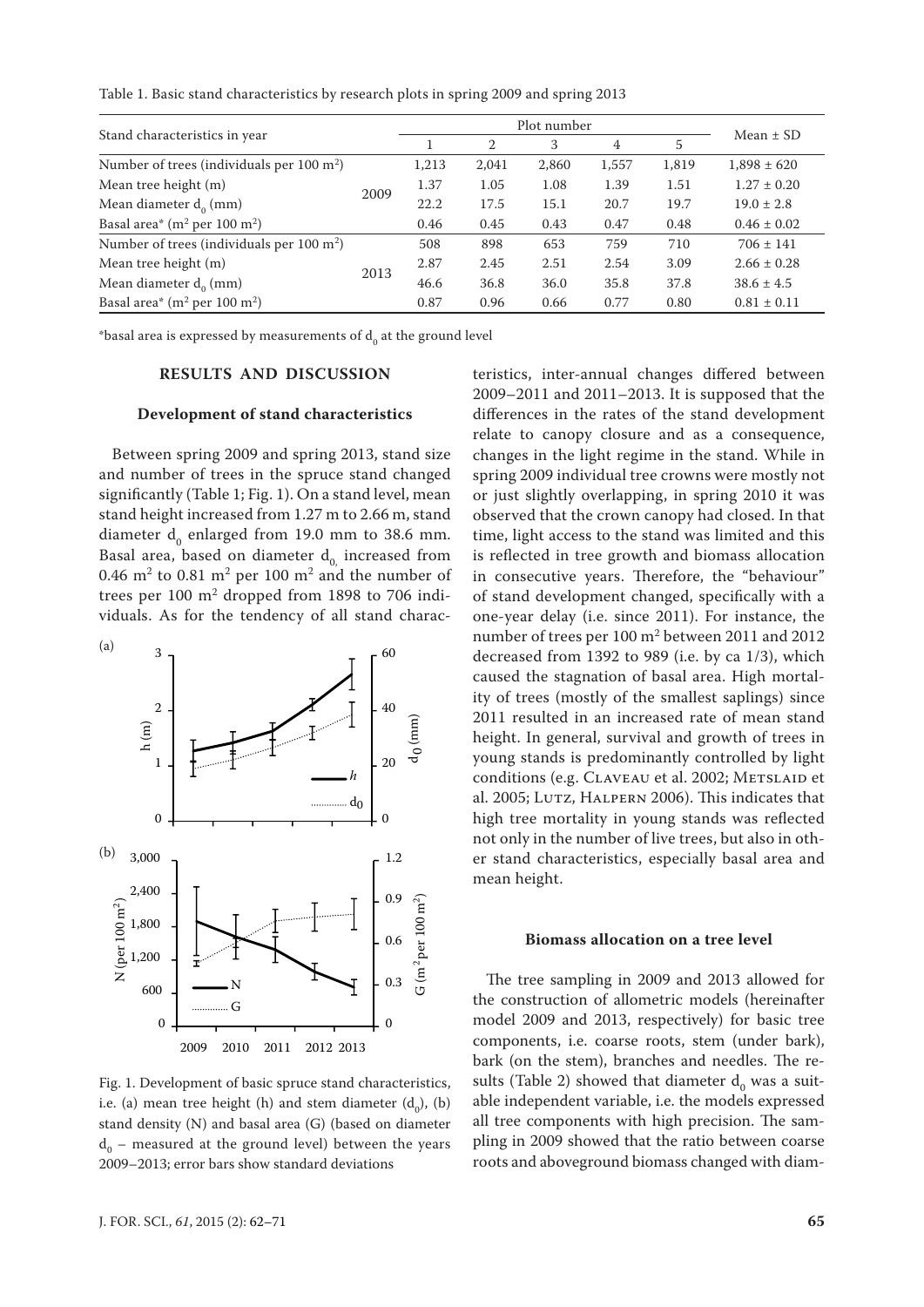Table 1. Basic stand characteristics by research plots in spring 2009 and spring 2013

| Stand characteristics in year                         |      | Plot number |                |       |                |       |                 |
|-------------------------------------------------------|------|-------------|----------------|-------|----------------|-------|-----------------|
|                                                       |      |             | $\mathfrak{2}$ | 3     | $\overline{4}$ | 5     | Mean $\pm$ SD   |
| Number of trees (individuals per 100 m <sup>2</sup> ) |      | 1,213       | 2,041          | 2,860 | 1,557          | 1,819 | $1,898 \pm 620$ |
| Mean tree height (m)                                  | 2009 | 1.37        | 1.05           | 1.08  | 1.39           | 1.51  | $1.27 \pm 0.20$ |
| Mean diameter $d_0$ (mm)                              |      | 22.2        | 17.5           | 15.1  | 20.7           | 19.7  | $19.0 \pm 2.8$  |
| Basal area* $(m^2 \text{ per } 100 \text{ m}^2)$      |      | 0.46        | 0.45           | 0.43  | 0.47           | 0.48  | $0.46 \pm 0.02$ |
| Number of trees (individuals per 100 m <sup>2</sup> ) |      | 508         | 898            | 653   | 759            | 710   | $706 \pm 141$   |
| Mean tree height (m)                                  | 2013 | 2.87        | 2.45           | 2.51  | 2.54           | 3.09  | $2.66 \pm 0.28$ |
| Mean diameter $d_0$ (mm)                              |      | 46.6        | 36.8           | 36.0  | 35.8           | 37.8  | $38.6 \pm 4.5$  |
| Basal area* (m <sup>2</sup> per 100 m <sup>2</sup> )  |      | 0.87        | 0.96           | 0.66  | 0.77           | 0.80  | $0.81 \pm 0.11$ |

\*basal area is expressed by measurements of  $d_0$  at the ground level

#### **RESULTS AND DISCUSSION**

#### **Development of stand characteristics**

Between spring 2009 and spring 2013, stand size and number of trees in the spruce stand changed significantly (Table 1; Fig. 1). On a stand level, mean stand height increased from 1.27 m to 2.66 m, stand diameter  $d_0$  enlarged from 19.0 mm to 38.6 mm. Basal area, based on diameter  $d_0$  increased from 0.46  $\mathrm{m}^2$  to 0.81  $\mathrm{m}^2$  per 100  $\mathrm{m}^2$  and the number of trees per 100 m<sup>2</sup> dropped from 1898 to 706 individuals. As for the tendency of all stand charac-



Fig. 1. Development of basic spruce stand characteristics, i.e. (a) mean tree height (h) and stem diameter  $(d_0)$ , (b) stand density (N) and basal area (G) (based on diameter  $d_0$  – measured at the ground level) between the years 2009–2013; error bars show standard deviations

J. FOR. SCI., *61*, 2015 (2): 62–71 **65**

teristics, inter-annual changes differed between 2009–2011 and 2011–2013. It is supposed that the differences in the rates of the stand development relate to canopy closure and as a consequence, changes in the light regime in the stand. While in spring 2009 individual tree crowns were mostly not or just slightly overlapping, in spring 2010 it was observed that the crown canopy had closed. In that time, light access to the stand was limited and this is reflected in tree growth and biomass allocation in consecutive years. Therefore, the "behaviour" of stand development changed, specifically with a one-year delay (i.e. since 2011). For instance, the number of trees per  $100 \text{ m}^2$  between  $2011$  and  $2012$ decreased from  $1392$  to  $989$  (i.e. by ca  $1/3$ ), which caused the stagnation of basal area. High mortality of trees (mostly of the smallest saplings) since 2011 resulted in an increased rate of mean stand height. In general, survival and growth of trees in young stands is predominantly controlled by light conditions (e.g. CLAVEAU et al. 2002; METSLAID et al. 2005; Lutz, Halpern 2006). This indicates that high tree mortality in young stands was reflected 0 0 not only in the number of live trees, but also in other stand characteristics, especially basal area and mean height.  $\frac{1}{x}$ ar<br>s<br>igl<br>D ditions (e.g. CLAVE 1<br>(h<br>11 G

#### **Biomass allocation on a tree level**

The tree sampling in 2009 and 2013 allowed for the construction of allometric models (hereinafter model 2009 and 2013, respectively) for basic tree components, i.e. coarse roots, stem (under bark), bark (on the stem), branches and needles. The results (Table 2) showed that diameter  $d_0$  was a suitable independent variable, i.e. the models expressed all tree components with high precision. The sampling in 2009 showed that the ratio between coarse roots and aboveground biomass changed with diam-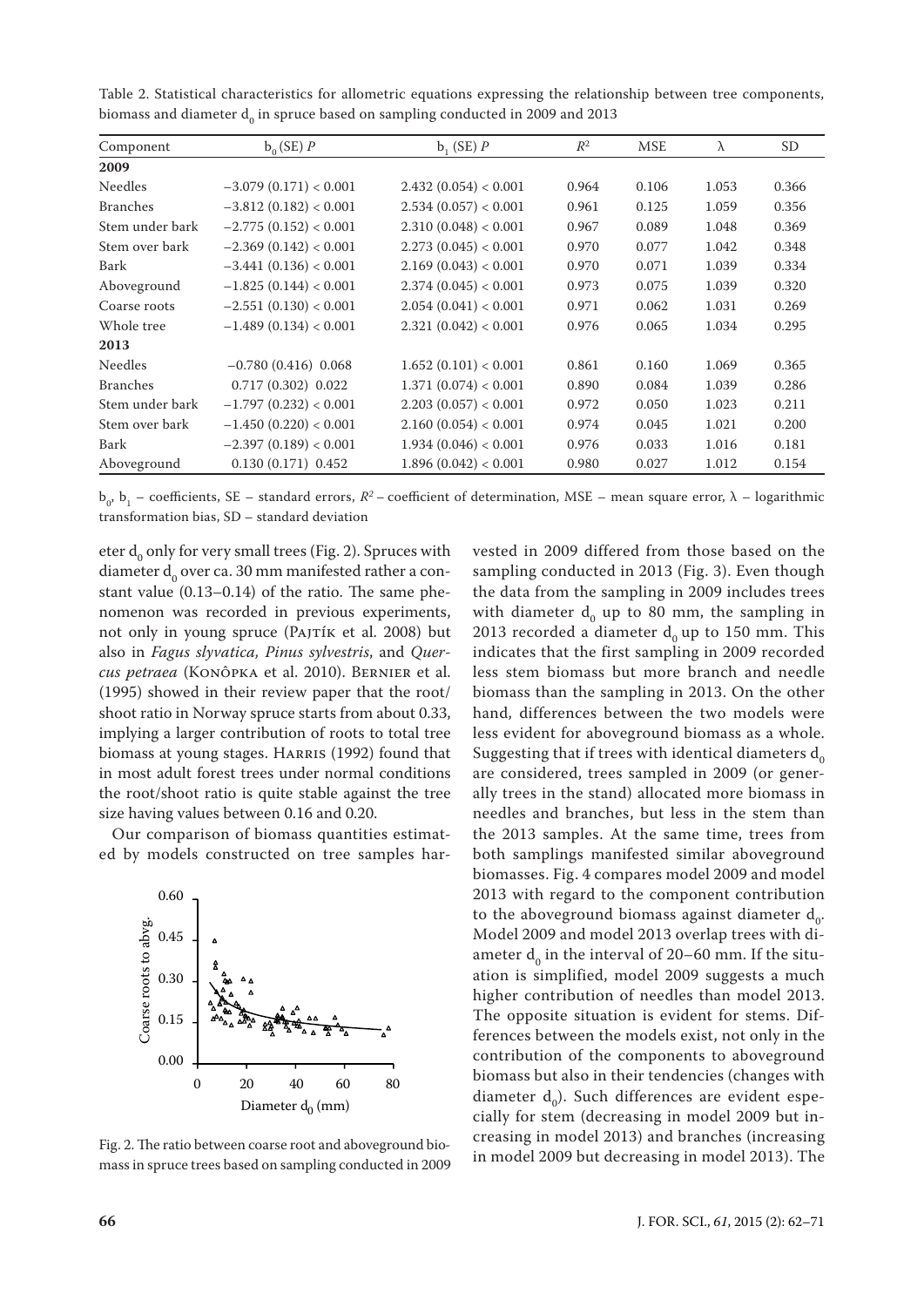| Component       | $b_0$ (SE) $P$          | $b_i$ (SE) $P$       | $R^2$ | <b>MSE</b> | λ     | SD    |
|-----------------|-------------------------|----------------------|-------|------------|-------|-------|
| 2009            |                         |                      |       |            |       |       |
| Needles         | $-3.079(0.171) < 0.001$ | 2.432(0.054) < 0.001 | 0.964 | 0.106      | 1.053 | 0.366 |
| <b>Branches</b> | $-3.812(0.182) < 0.001$ | 2.534(0.057) < 0.001 | 0.961 | 0.125      | 1.059 | 0.356 |
| Stem under bark | $-2.775(0.152) < 0.001$ | 2.310(0.048) < 0.001 | 0.967 | 0.089      | 1.048 | 0.369 |
| Stem over bark  | $-2.369(0.142) < 0.001$ | 2.273(0.045) < 0.001 | 0.970 | 0.077      | 1.042 | 0.348 |
| Bark            | $-3.441(0.136) < 0.001$ | 2.169(0.043) < 0.001 | 0.970 | 0.071      | 1.039 | 0.334 |
| Aboveground     | $-1.825(0.144) < 0.001$ | 2.374(0.045) < 0.001 | 0.973 | 0.075      | 1.039 | 0.320 |
| Coarse roots    | $-2.551(0.130) < 0.001$ | 2.054(0.041) < 0.001 | 0.971 | 0.062      | 1.031 | 0.269 |
| Whole tree      | $-1.489(0.134) < 0.001$ | 2.321(0.042) < 0.001 | 0.976 | 0.065      | 1.034 | 0.295 |
| 2013            |                         |                      |       |            |       |       |
| Needles         | $-0.780(0.416)0.068$    | 1.652(0.101) < 0.001 | 0.861 | 0.160      | 1.069 | 0.365 |
| <b>Branches</b> | 0.717(0.302)0.022       | 1.371(0.074) < 0.001 | 0.890 | 0.084      | 1.039 | 0.286 |
| Stem under bark | $-1.797(0.232) < 0.001$ | 2.203(0.057) < 0.001 | 0.972 | 0.050      | 1.023 | 0.211 |
| Stem over bark  | $-1.450(0.220) < 0.001$ | 2.160(0.054) < 0.001 | 0.974 | 0.045      | 1.021 | 0.200 |
| Bark            | $-2.397(0.189) < 0.001$ | 1.934(0.046) < 0.001 | 0.976 | 0.033      | 1.016 | 0.181 |
| Aboveground     | 0.130(0.171)0.452       | 1.896(0.042) < 0.001 | 0.980 | 0.027      | 1.012 | 0.154 |

Table 2. Statistical characteristics for allometric equations expressing the relationship between tree components, biomass and diameter  $d_0$  in spruce based on sampling conducted in 2009 and 2013

 $b_0$ ,  $b_1$  – coefficients, SE – standard errors,  $R^2$  – coefficient of determination, MSE – mean square error, λ – logarithmic transformation bias, SD – standard deviation

eter  $d_0$  only for very small trees (Fig. 2). Spruces with diameter  $d_0$  over ca. 30 mm manifested rather a constant value (0.13–0.14) of the ratio. The same phenomenon was recorded in previous experiments, not only in young spruce (PAJTÍK et al. 2008) but also in *Fagus slyvatica, Pinus sylvestris*, and *Quercus petraea* (Konôpka et al. 2010). Bernier et al. (1995) showed in their review paper that the root/ shoot ratio in Norway spruce starts from about 0.33, implying a larger contribution of roots to total tree biomass at young stages. HARRIS (1992) found that in most adult forest trees under normal conditions the root/shoot ratio is quite stable against the tree size having values between 0.16 and 0.20.

Our comparison of biomass quantities estimated by models constructed on tree samples har-



Fig. 2. The ratio between coarse root and aboveground biomass in spruce trees based on sampling conducted in 2009

vested in 2009 differed from those based on the sampling conducted in 2013 (Fig. 3). Even though the data from the sampling in 2009 includes trees with diameter  $d_0$  up to 80 mm, the sampling in 2013 recorded a diameter  $d_0$  up to 150 mm. This indicates that the first sampling in 2009 recorded less stem biomass but more branch and needle biomass than the sampling in 2013. On the other hand, differences between the two models were less evident for aboveground biomass as a whole. Suggesting that if trees with identical diameters  $d_0$ are considered, trees sampled in 2009 (or generally trees in the stand) allocated more biomass in needles and branches, but less in the stem than the 2013 samples. At the same time, trees from both samplings manifested similar aboveground biomasses. Fig. 4 compares model 2009 and model 2013 with regard to the component contribution to the aboveground biomass against diameter  $d_0$ . Model 2009 and model 2013 overlap trees with diameter  $d_0$  in the interval of 20–60 mm. If the situation is simplified, model 2009 suggests a much higher contribution of needles than model 2013. The opposite situation is evident for stems. Differences between the models exist, not only in the contribution of the components to aboveground biomass but also in their tendencies (changes with diameter  $d_0$ ). Such differences are evident especially for stem (decreasing in model 2009 but increasing in model 2013) and branches (increasing in model 2009 but decreasing in model 2013). The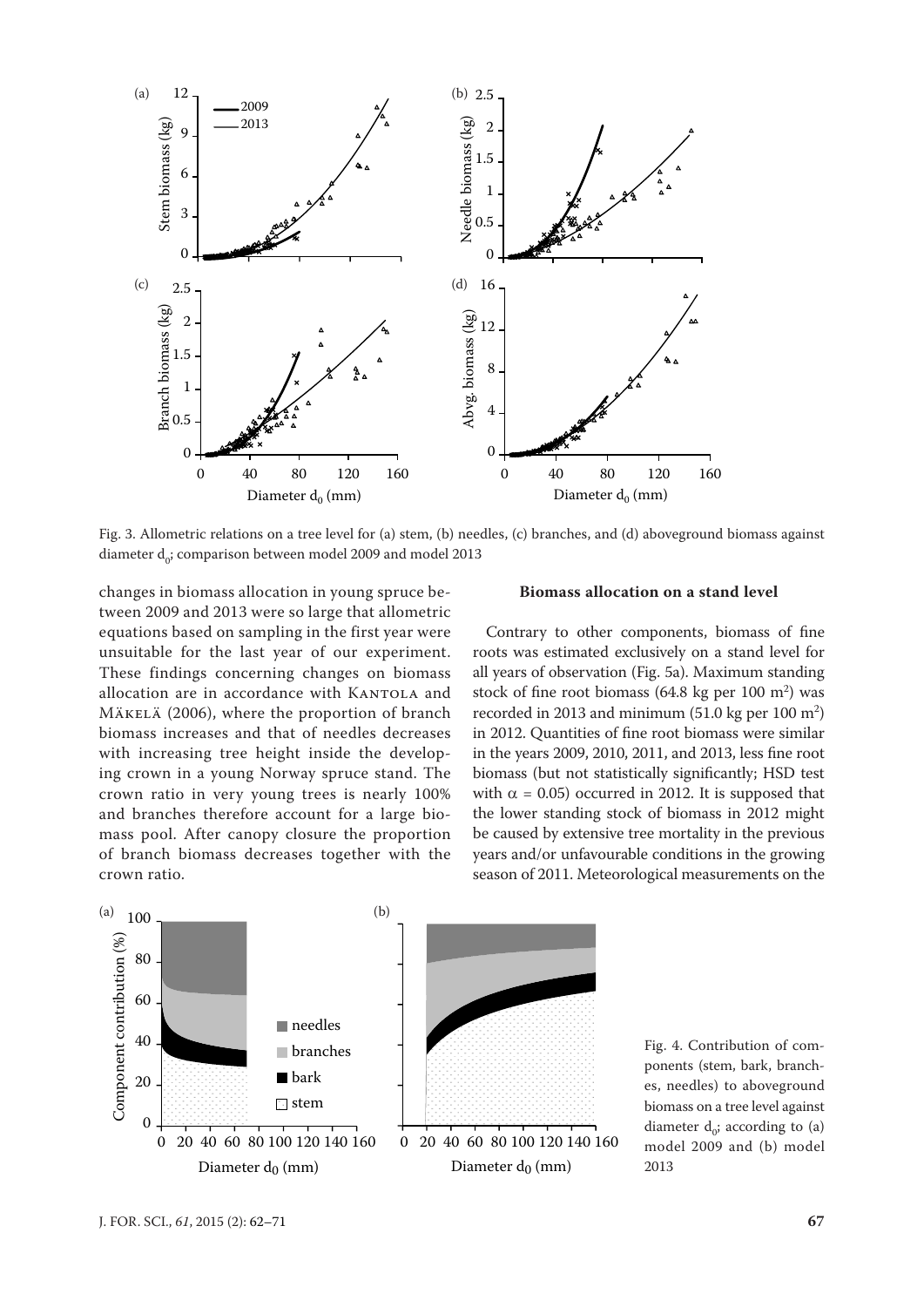

Fig. 3. Allometric relations on a tree level for (a) stem, (b) needles, (c) branches, and (d) aboveground biomass against diameter  $\rm{d_{0}}$ ; comparison between model 2009 and model 2013

changes in biomass allocation in young spruce between 2009 and 2013 were so large that allometric equations based on sampling in the first year were unsuitable for the last year of our experiment. These findings concerning changes on biomass allocation are in accordance with KANTOLA and Mäkelä (2006), where the proportion of branch biomass increases and that of needles decreases with increasing tree height inside the developing crown in a young Norway spruce stand. The crown ratio in very young trees is nearly 100% and branches therefore account for a large biomass pool. After canopy closure the proportion of branch biomass decreases together with the crown ratio.

#### **Biomass allocation on a stand level**

Contrary to other components, biomass of fine roots was estimated exclusively on a stand level for all years of observation (Fig. 5a). Maximum standing stock of fine root biomass  $(64.8 \text{ kg per } 100 \text{ m}^2)$  was recorded in 2013 and minimum  $(51.0 \text{ kg per } 100 \text{ m}^2)$ in 2012. Quantities of fine root biomass were similar in the years 2009, 2010, 2011, and 2013, less fine root biomass (but not statistically significantly; HSD test with  $\alpha$  = 0.05) occurred in 2012. It is supposed that the lower standing stock of biomass in 2012 might be caused by extensive tree mortality in the previous years and/or unfavourable conditions in the growing season of 2011. Meteorological measurements on the



Fig. 4. Contribution of components (stem, bark, branches, needles) to aboveground biomass on a tree level against diameter  $d_0$ ; according to (a) model 2009 and (b) model 2013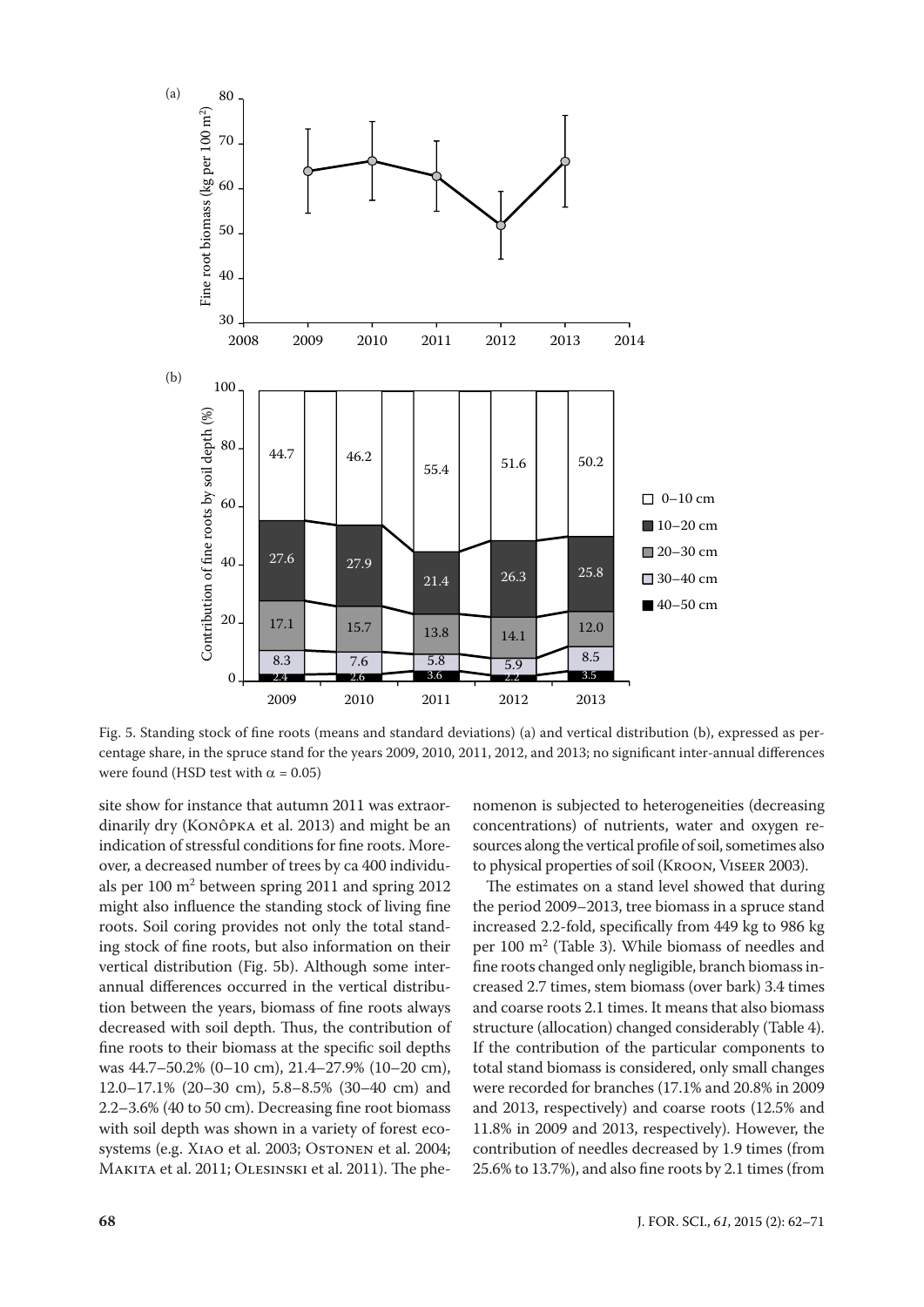

Fig. 5. Standing stock of fine roots (means and standard deviations) (a) and vertical distribution (b), expressed as percentage share, in the spruce stand for the years 2009, 2010, 2011, 2012, and 2013; no significant inter-annual differences were found (HSD test with  $\alpha$  = 0.05)

site show for instance that autumn 2011 was extraordinarily dry (Konôpka et al. 2013) and might be an indication of stressful conditions for fine roots. Moreover, a decreased number of trees by ca 400 individuals per 100 m2 between spring 2011 and spring 2012 might also influence the standing stock of living fine roots. Soil coring provides not only the total standing stock of fine roots, but also information on their vertical distribution (Fig. 5b). Although some interannual differences occurred in the vertical distribution between the years, biomass of fine roots always decreased with soil depth. Thus, the contribution of fine roots to their biomass at the specific soil depths was 44.7–50.2% (0–10 cm), 21.4–27.9% (10–20 cm), 12.0–17.1% (20–30 cm), 5.8–8.5% (30–40 cm) and 2.2–3.6% (40 to 50 cm). Decreasing fine root biomass with soil depth was shown in a variety of forest ecosystems (e.g. XIAO et al. 2003; OSTONEN et al. 2004; Makita et al. 2011; Olesinski et al. 2011). The phe-

nomenon is subjected to heterogeneities (decreasing concentrations) of nutrients, water and oxygen resources along the vertical profile of soil, sometimes also to physical properties of soil (Kroon, Viseer 2003).

The estimates on a stand level showed that during the period 2009–2013, tree biomass in a spruce stand increased 2.2-fold, specifically from 449 kg to 986 kg per 100 m2 (Table 3). While biomass of needles and fine roots changed only negligible, branch biomass increased 2.7 times, stem biomass (over bark) 3.4 times and coarse roots 2.1 times. It means that also biomass structure (allocation) changed considerably (Table 4). If the contribution of the particular components to total stand biomass is considered, only small changes were recorded for branches (17.1% and 20.8% in 2009 and 2013, respectively) and coarse roots (12.5% and 11.8% in 2009 and 2013, respectively). However, the contribution of needles decreased by 1.9 times (from 25.6% to 13.7%), and also fine roots by 2.1 times (from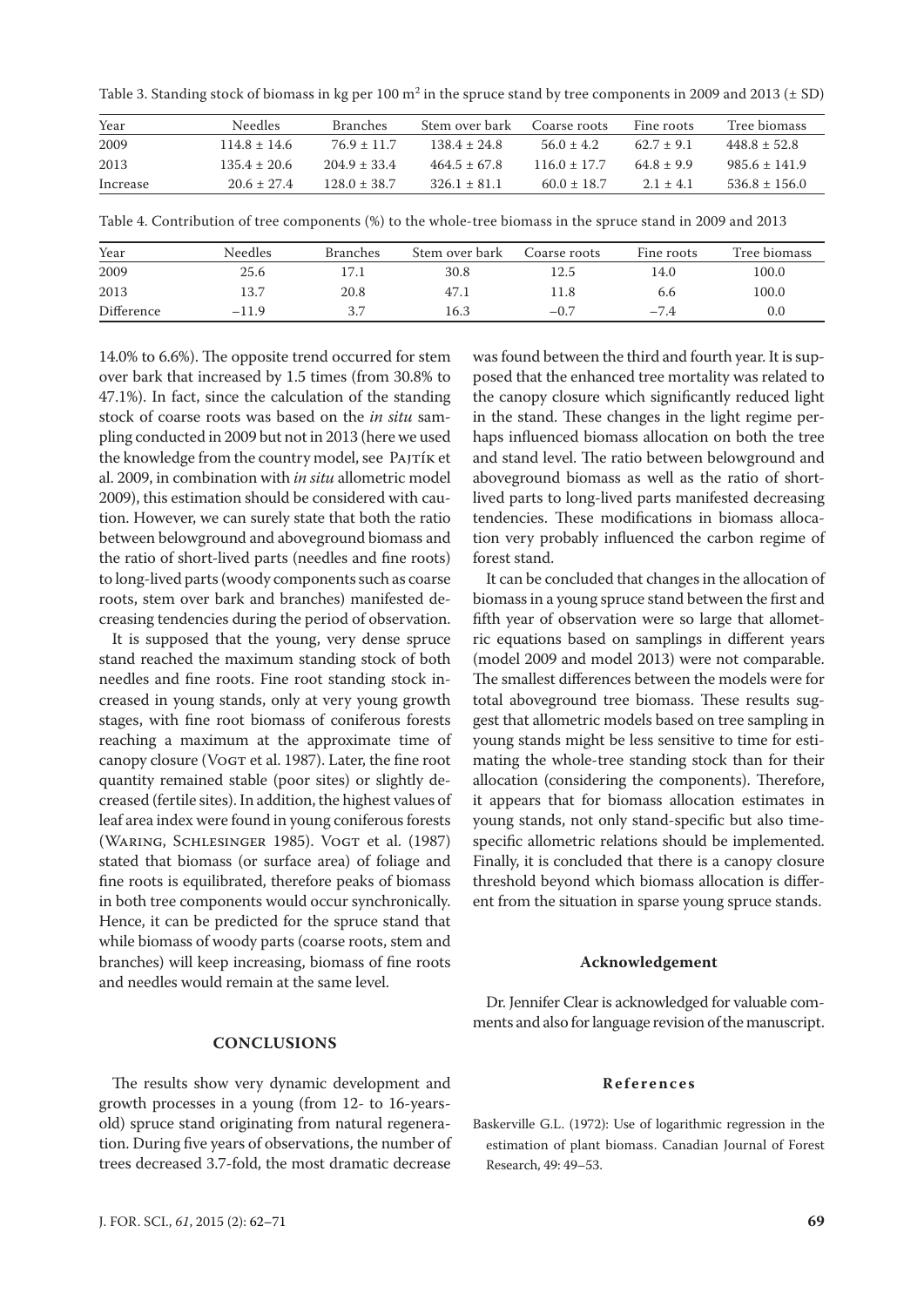Table 3. Standing stock of biomass in kg per 100 m<sup>2</sup> in the spruce stand by tree components in 2009 and 2013 ( $\pm$  SD)

| Year     | Needles          | <b>Branches</b> | . Stem over bark | Coarse roots   | Fine roots   | Tree biomass    |
|----------|------------------|-----------------|------------------|----------------|--------------|-----------------|
| 2009     | $114.8 \pm 14.6$ | $76.9 + 11.7$   | $138.4 + 24.8$   | $56.0 + 4.2$   | $62.7 + 9.1$ | $448.8 + 52.8$  |
| 2013     | $135.4 + 20.6$   | $204.9 + 33.4$  | $464.5 + 67.8$   | $116.0 + 17.7$ | $64.8 + 9.9$ | $985.6 + 141.9$ |
| Increase | $20.6 + 27.4$    | $128.0 + 38.7$  | $326.1 + 81.1$   | $60.0 + 18.7$  | $21 + 41$    | $536.8 + 156.0$ |

| Table 4. Contribution of tree components (%) to the whole-tree biomass in the spruce stand in 2009 and 2013 |  |  |
|-------------------------------------------------------------------------------------------------------------|--|--|
|-------------------------------------------------------------------------------------------------------------|--|--|

| Year       | Needles | <b>Branches</b> | Stem over bark | Coarse roots | Fine roots | Tree biomass |
|------------|---------|-----------------|----------------|--------------|------------|--------------|
| 2009       | 25.6    |                 | 30.8           | 12.5         | 14.0       | 100.0        |
| 2013       | 13.7    | 20.8            | 47.1           | 11.8         | 6.6        | 100.0        |
| Difference | $-11.9$ | 3.7             | 16.3           | $-0.7$       | $-7.4$     | 0.0          |

14.0% to 6.6%). The opposite trend occurred for stem over bark that increased by 1.5 times (from 30.8% to 47.1%). In fact, since the calculation of the standing stock of coarse roots was based on the *in situ* sampling conducted in 2009 but not in 2013 (here we used the knowledge from the country model, see PAJTÍK et al. 2009, in combination with *in situ* allometric model 2009), this estimation should be considered with caution. However, we can surely state that both the ratio between belowground and aboveground biomass and the ratio of short-lived parts (needles and fine roots) to long-lived parts (woody components such as coarse roots, stem over bark and branches) manifested decreasing tendencies during the period of observation.

It is supposed that the young, very dense spruce stand reached the maximum standing stock of both needles and fine roots. Fine root standing stock increased in young stands, only at very young growth stages, with fine root biomass of coniferous forests reaching a maximum at the approximate time of canopy closure (VoGT et al. 1987). Later, the fine root quantity remained stable (poor sites) or slightly decreased (fertile sites). In addition, the highest values of leaf area index were found in young coniferous forests (WARING, SCHLESINGER 1985). VOGT et al. (1987) stated that biomass (or surface area) of foliage and fine roots is equilibrated, therefore peaks of biomass in both tree components would occur synchronically. Hence, it can be predicted for the spruce stand that while biomass of woody parts (coarse roots, stem and branches) will keep increasing, biomass of fine roots and needles would remain at the same level.

### **CONCLUSIONS**

The results show very dynamic development and growth processes in a young (from 12- to 16-yearsold) spruce stand originating from natural regeneration. During five years of observations, the number of trees decreased 3.7-fold, the most dramatic decrease

posed that the enhanced tree mortality was related to the canopy closure which significantly reduced light in the stand. These changes in the light regime perhaps influenced biomass allocation on both the tree and stand level. The ratio between belowground and aboveground biomass as well as the ratio of shortlived parts to long-lived parts manifested decreasing tendencies. These modifications in biomass allocation very probably influenced the carbon regime of forest stand. It can be concluded that changes in the allocation of

was found between the third and fourth year. It is sup-

biomass in a young spruce stand between the first and fifth year of observation were so large that allometric equations based on samplings in different years (model 2009 and model 2013) were not comparable. The smallest differences between the models were for total aboveground tree biomass. These results suggest that allometric models based on tree sampling in young stands might be less sensitive to time for estimating the whole-tree standing stock than for their allocation (considering the components). Therefore, it appears that for biomass allocation estimates in young stands, not only stand-specific but also timespecific allometric relations should be implemented. Finally, it is concluded that there is a canopy closure threshold beyond which biomass allocation is different from the situation in sparse young spruce stands.

#### **Acknowledgement**

Dr. Jennifer Clear is acknowledged for valuable comments and also for language revision of the manuscript.

#### **References**

Baskerville G.L. (1972): Use of logarithmic regression in the estimation of plant biomass. Canadian Journal of Forest Research, 49: 49–53.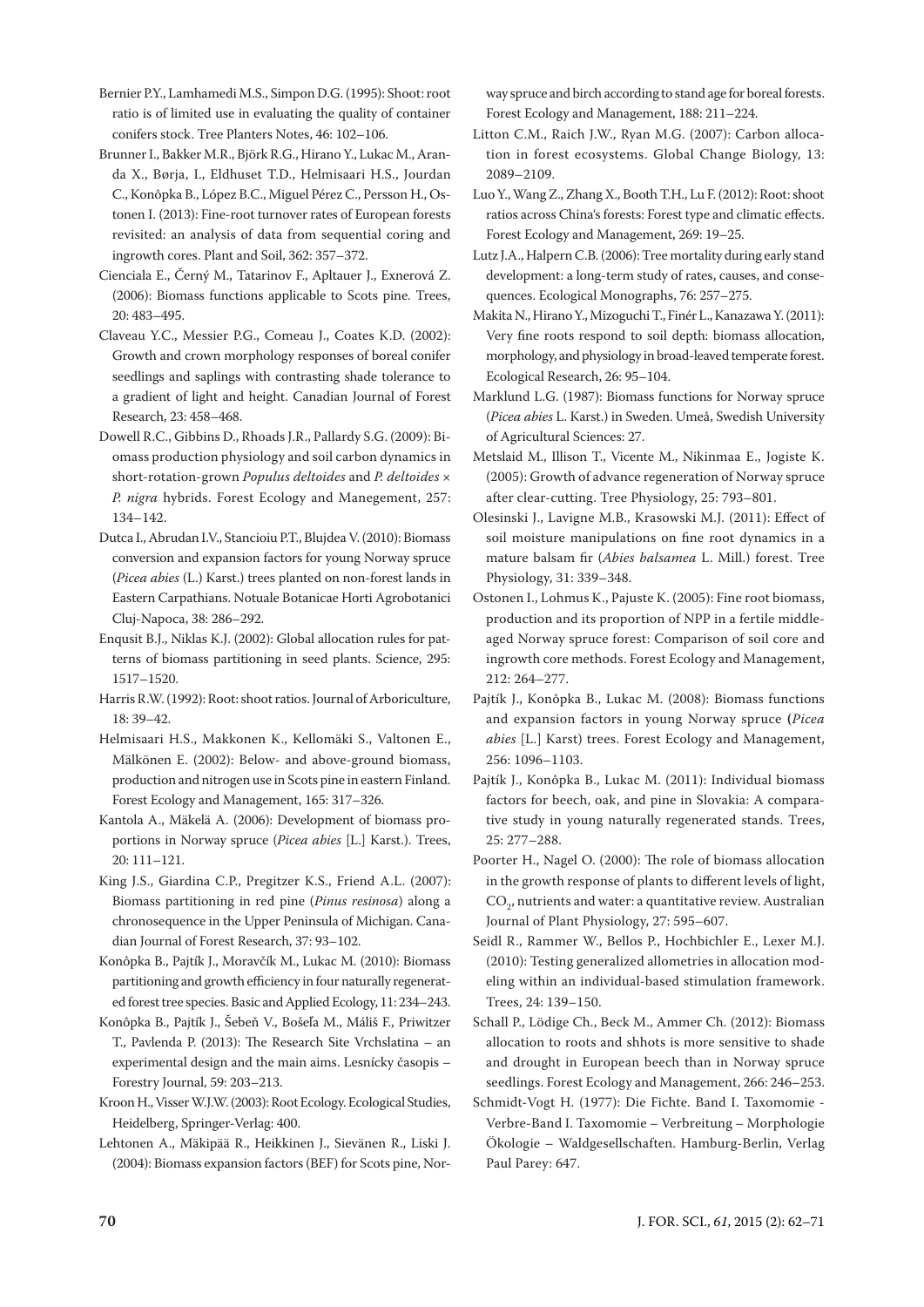Bernier P.Y., Lamhamedi M.S., Simpon D.G. (1995): Shoot: root ratio is of limited use in evaluating the quality of container conifers stock. Tree Planters Notes, 46: 102–106.

Brunner I., Bakker M.R., Björk R.G., Hirano Y., Lukac M., Aranda X., Børja, I., Eldhuset T.D., Helmisaari H.S., Jourdan C., Konôpka B., López B.C., Miguel Pérez C., Persson H., Ostonen I. (2013): Fine-root turnover rates of European forests revisited: an analysis of data from sequential coring and ingrowth cores. Plant and Soil, 362: 357–372.

Cienciala E., Černý M., Tatarinov F., Apltauer J., Exnerová Z. (2006): Biomass functions applicable to Scots pine. Trees, 20: 483–495.

Claveau Y.C., Messier P.G., Comeau J., Coates K.D. (2002): Growth and crown morphology responses of boreal conifer seedlings and saplings with contrasting shade tolerance to a gradient of light and height. Canadian Journal of Forest Research, 23: 458–468.

Dowell R.C., Gibbins D., Rhoads J.R., Pallardy S.G. (2009): Biomass production physiology and soil carbon dynamics in short-rotation-grown *Populus deltoides* and *P. deltoides* × *P. nigra* hybrids. Forest Ecology and Manegement, 257: 134–142.

Dutca I., Abrudan I.V., Stancioiu P.T., Blujdea V. (2010): Biomass conversion and expansion factors for young Norway spruce (*Picea abies* (L.) Karst.) trees planted on non-forest lands in Eastern Carpathians. Notuale Botanicae Horti Agrobotanici Cluj-Napoca, 38: 286–292.

Enqusit B.J., Niklas K.J. (2002): Global allocation rules for patterns of biomass partitioning in seed plants. Science, 295: 1517–1520.

Harris R.W. (1992): Root: shoot ratios. Journal of Arboriculture, 18: 39–42.

Helmisaari H.S., Makkonen K., Kellomäki S., Valtonen E., Mälkönen E. (2002): Below- and above-ground biomass, production and nitrogen use in Scots pine in eastern Finland. Forest Ecology and Management, 165: 317–326.

Kantola A., Mäkelä A. (2006): Development of biomass proportions in Norway spruce (*Picea abies* [L.] Karst.). Trees, 20: 111–121.

King J.S., Giardina C.P., Pregitzer K.S., Friend A.L. (2007): Biomass partitioning in red pine (*Pinus resinosa*) along a chronosequence in the Upper Peninsula of Michigan. Canadian Journal of Forest Research, 37: 93–102.

Konôpka B., Pajtík J., Moravčík M., Lukac M. (2010): Biomass partitioning and growth efficiency in four naturally regenerated forest tree species. Basic and Applied Ecology, 11: 234–243.

Konôpka B., Pajtík J., Šebeň V., Bošeľa M., Máliš F., Priwitzer T., Pavlenda P. (2013): The Research Site Vrchslatina – an experimental design and the main aims. Lesnícky časopis – Forestry Journal, 59: 203–213.

Kroon H., Visser W.J.W. (2003): Root Ecology. Ecological Studies, Heidelberg, Springer-Verlag: 400.

Lehtonen A., Mäkipää R., Heikkinen J., Sievänen R., Liski J. (2004): Biomass expansion factors (BEF) for Scots pine, Norway spruce and birch according to stand age for boreal forests. Forest Ecology and Management, 188: 211–224.

Litton C.M., Raich J.W., Ryan M.G. (2007): Carbon allocation in forest ecosystems. Global Change Biology, 13: 2089–2109.

Luo Y., Wang Z., Zhang X., Booth T.H., Lu F. (2012): Root: shoot ratios across China's forests: Forest type and climatic effects. Forest Ecology and Management, 269: 19–25.

Lutz J.A., Halpern C.B. (2006): Tree mortality during early stand development: a long-term study of rates, causes, and consequences. Ecological Monographs, 76: 257–275.

Makita N., Hirano Y., Mizoguchi T., Finér L., Kanazawa Y. (2011): Very fine roots respond to soil depth: biomass allocation, morphology, and physiology in broad-leaved temperate forest. Ecological Research, 26: 95–104.

Marklund L.G. (1987): Biomass functions for Norway spruce (*Picea abies* L. Karst.) in Sweden. Umeå, Swedish University of Agricultural Sciences: 27.

Metslaid M., Illison T., Vicente M., Nikinmaa E., Jogiste K. (2005): Growth of advance regeneration of Norway spruce after clear-cutting. Tree Physiology, 25: 793–801.

Olesinski J., Lavigne M.B., Krasowski M.J. (2011): Effect of soil moisture manipulations on fine root dynamics in a mature balsam fir (*Abies balsamea* L. Mill.) forest. Tree Physiology, 31: 339–348.

Ostonen I., Lohmus K., Pajuste K. (2005): Fine root biomass, production and its proportion of NPP in a fertile middleaged Norway spruce forest: Comparison of soil core and ingrowth core methods. Forest Ecology and Management, 212: 264–277.

Pajtík J., Konôpka B., Lukac M. (2008): Biomass functions and expansion factors in young Norway spruce **(***Picea abies* [L.] Karst) trees. Forest Ecology and Management, 256: 1096–1103.

Pajtík J., Konôpka B., Lukac M. (2011): Individual biomass factors for beech, oak, and pine in Slovakia: A comparative study in young naturally regenerated stands. Trees, 25: 277–288.

Poorter H., Nagel O. (2000): The role of biomass allocation in the growth response of plants to different levels of light,  $\mathrm{CO}_2$ , nutrients and water: a quantitative review. Australian Journal of Plant Physiology, 27: 595–607.

Seidl R., Rammer W., Bellos P., Hochbichler E., Lexer M.J. (2010): Testing generalized allometries in allocation modeling within an individual-based stimulation framework. Trees, 24: 139–150.

Schall P., Lödige Ch., Beck M., Ammer Ch. (2012): Biomass allocation to roots and shhots is more sensitive to shade and drought in European beech than in Norway spruce seedlings. Forest Ecology and Management, 266: 246–253.

Schmidt-Vogt H. (1977): Die Fichte. Band I. Taxomomie - Verbre-Band I. Taxomomie – Verbreitung – Morphologie Ökologie – Waldgesellschaften. Hamburg-Berlin, Verlag Paul Parey: 647.